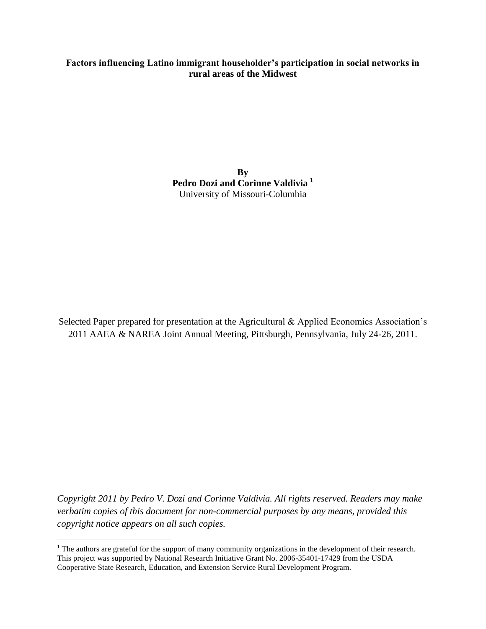# **Factors influencing Latino immigrant householder's participation in social networks in rural areas of the Midwest**

**By Pedro Dozi and Corinne Valdivia <sup>1</sup>** University of Missouri-Columbia

Selected Paper prepared for presentation at the Agricultural & Applied Economics Association's 2011 AAEA & NAREA Joint Annual Meeting, Pittsburgh, Pennsylvania, July 24-26, 2011.

*Copyright 2011 by Pedro V. Dozi and Corinne Valdivia. All rights reserved. Readers may make verbatim copies of this document for non-commercial purposes by any means, provided this copyright notice appears on all such copies.*

 $\overline{a}$ 

 $<sup>1</sup>$  The authors are grateful for the support of many community organizations in the development of their research.</sup> This project was supported by National Research Initiative Grant No. 2006-35401-17429 from the USDA Cooperative State Research, Education, and Extension Service Rural Development Program.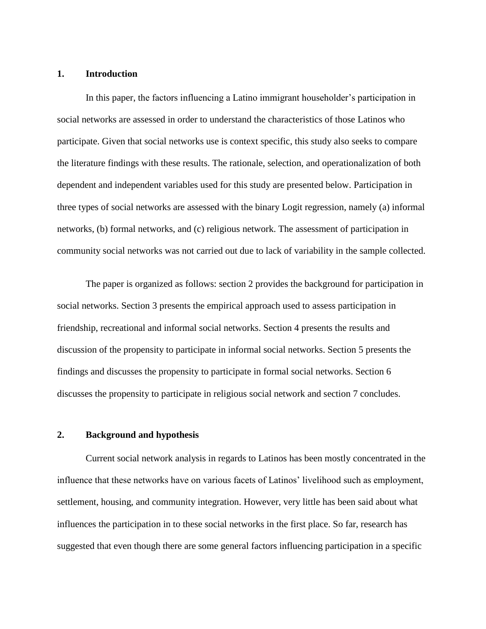#### **1. Introduction**

In this paper, the factors influencing a Latino immigrant householder's participation in social networks are assessed in order to understand the characteristics of those Latinos who participate. Given that social networks use is context specific, this study also seeks to compare the literature findings with these results. The rationale, selection, and operationalization of both dependent and independent variables used for this study are presented below. Participation in three types of social networks are assessed with the binary Logit regression, namely (a) informal networks, (b) formal networks, and (c) religious network. The assessment of participation in community social networks was not carried out due to lack of variability in the sample collected.

The paper is organized as follows: section 2 provides the background for participation in social networks. Section 3 presents the empirical approach used to assess participation in friendship, recreational and informal social networks. Section 4 presents the results and discussion of the propensity to participate in informal social networks. Section 5 presents the findings and discusses the propensity to participate in formal social networks. Section 6 discusses the propensity to participate in religious social network and section 7 concludes.

#### **2. Background and hypothesis**

Current social network analysis in regards to Latinos has been mostly concentrated in the influence that these networks have on various facets of Latinos' livelihood such as employment, settlement, housing, and community integration. However, very little has been said about what influences the participation in to these social networks in the first place. So far, research has suggested that even though there are some general factors influencing participation in a specific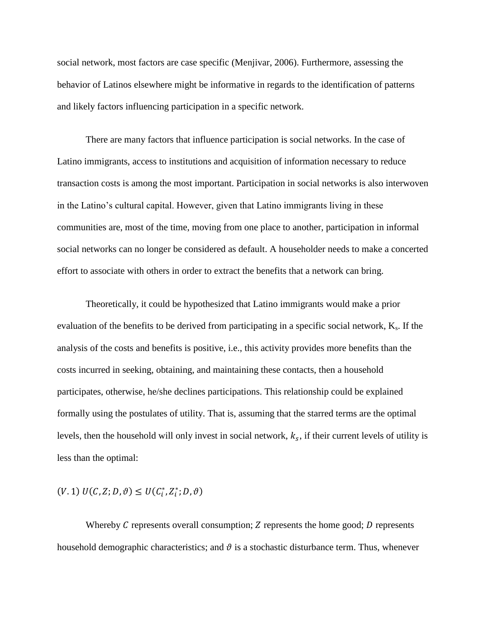social network, most factors are case specific (Menjivar, 2006). Furthermore, assessing the behavior of Latinos elsewhere might be informative in regards to the identification of patterns and likely factors influencing participation in a specific network.

There are many factors that influence participation is social networks. In the case of Latino immigrants, access to institutions and acquisition of information necessary to reduce transaction costs is among the most important. Participation in social networks is also interwoven in the Latino's cultural capital. However, given that Latino immigrants living in these communities are, most of the time, moving from one place to another, participation in informal social networks can no longer be considered as default. A householder needs to make a concerted effort to associate with others in order to extract the benefits that a network can bring.

Theoretically, it could be hypothesized that Latino immigrants would make a prior evaluation of the benefits to be derived from participating in a specific social network,  $K_s$ . If the analysis of the costs and benefits is positive, i.e., this activity provides more benefits than the costs incurred in seeking, obtaining, and maintaining these contacts, then a household participates, otherwise, he/she declines participations. This relationship could be explained formally using the postulates of utility. That is, assuming that the starred terms are the optimal levels, then the household will only invest in social network,  $k_s$ , if their current levels of utility is less than the optimal:

$$
(V. 1) U(C, Z; D, \vartheta) \leq U(C_i^*, Z_i^*, D, \vartheta)
$$

Whereby  $C$  represents overall consumption;  $Z$  represents the home good;  $D$  represents household demographic characteristics; and  $\vartheta$  is a stochastic disturbance term. Thus, whenever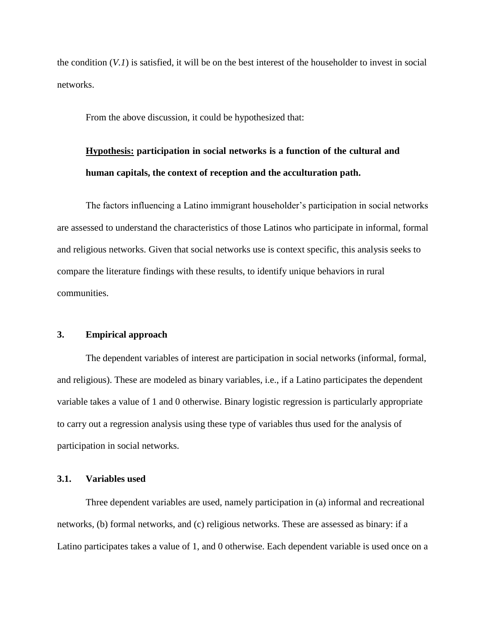the condition (*V.1*) is satisfied, it will be on the best interest of the householder to invest in social networks.

From the above discussion, it could be hypothesized that:

# **Hypothesis: participation in social networks is a function of the cultural and human capitals, the context of reception and the acculturation path.**

The factors influencing a Latino immigrant householder's participation in social networks are assessed to understand the characteristics of those Latinos who participate in informal, formal and religious networks. Given that social networks use is context specific, this analysis seeks to compare the literature findings with these results, to identify unique behaviors in rural communities.

#### **3. Empirical approach**

The dependent variables of interest are participation in social networks (informal, formal, and religious). These are modeled as binary variables, i.e., if a Latino participates the dependent variable takes a value of 1 and 0 otherwise. Binary logistic regression is particularly appropriate to carry out a regression analysis using these type of variables thus used for the analysis of participation in social networks.

#### **3.1. Variables used**

Three dependent variables are used, namely participation in (a) informal and recreational networks, (b) formal networks, and (c) religious networks. These are assessed as binary: if a Latino participates takes a value of 1, and 0 otherwise. Each dependent variable is used once on a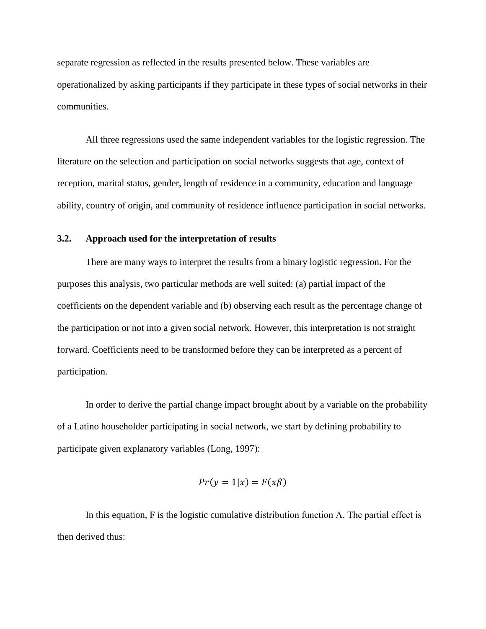separate regression as reflected in the results presented below. These variables are operationalized by asking participants if they participate in these types of social networks in their communities.

All three regressions used the same independent variables for the logistic regression. The literature on the selection and participation on social networks suggests that age, context of reception, marital status, gender, length of residence in a community, education and language ability, country of origin, and community of residence influence participation in social networks.

## **3.2. Approach used for the interpretation of results**

There are many ways to interpret the results from a binary logistic regression. For the purposes this analysis, two particular methods are well suited: (a) partial impact of the coefficients on the dependent variable and (b) observing each result as the percentage change of the participation or not into a given social network. However, this interpretation is not straight forward. Coefficients need to be transformed before they can be interpreted as a percent of participation.

In order to derive the partial change impact brought about by a variable on the probability of a Latino householder participating in social network, we start by defining probability to participate given explanatory variables (Long, 1997):

$$
Pr(y = 1|x) = F(x\beta)
$$

In this equation, F is the logistic cumulative distribution function  $\Lambda$ . The partial effect is then derived thus: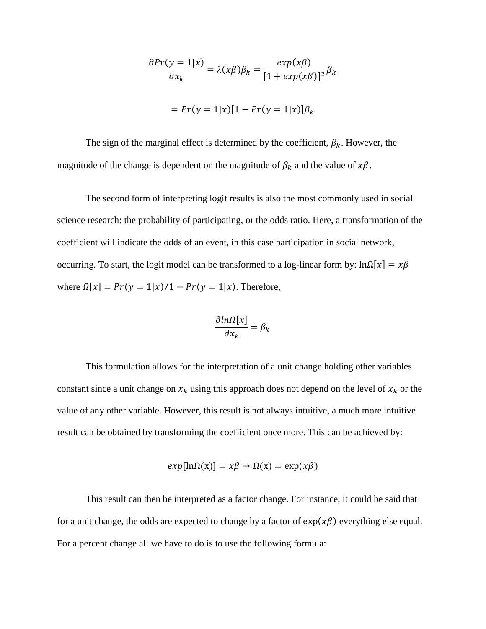$$
\frac{\partial Pr(y=1|x)}{\partial x_k} = \lambda(x\beta)\beta_k = \frac{exp(x\beta)}{[1+exp(x\beta)]^2}\beta_k
$$

$$
= Pr(y=1|x)[1-Pr(y=1|x)]\beta_k
$$

The sign of the marginal effect is determined by the coefficient,  $\beta_k$ . However, the magnitude of the change is dependent on the magnitude of  $\beta_k$  and the value of  $x\beta$ .

The second form of interpreting logit results is also the most commonly used in social science research: the probability of participating, or the odds ratio. Here, a transformation of the coefficient will indicate the odds of an event, in this case participation in social network, occurring. To start, the logit model can be transformed to a log-linear form by:  $\ln \Omega[x] = x\beta$ where  $\Omega[x] = Pr(y = 1|x)/1 - Pr(y = 1|x)$ . Therefore,

$$
\frac{\partial \ln \Omega[x]}{\partial x_k} = \beta_k
$$

This formulation allows for the interpretation of a unit change holding other variables constant since a unit change on  $x_k$  using this approach does not depend on the level of  $x_k$  or the value of any other variable. However, this result is not always intuitive, a much more intuitive result can be obtained by transforming the coefficient once more. This can be achieved by:

$$
exp[ln\Omega(x)] = x\beta \rightarrow \Omega(x) = exp(x\beta)
$$

This result can then be interpreted as a factor change. For instance, it could be said that for a unit change, the odds are expected to change by a factor of  $exp(x\beta)$  everything else equal. For a percent change all we have to do is to use the following formula: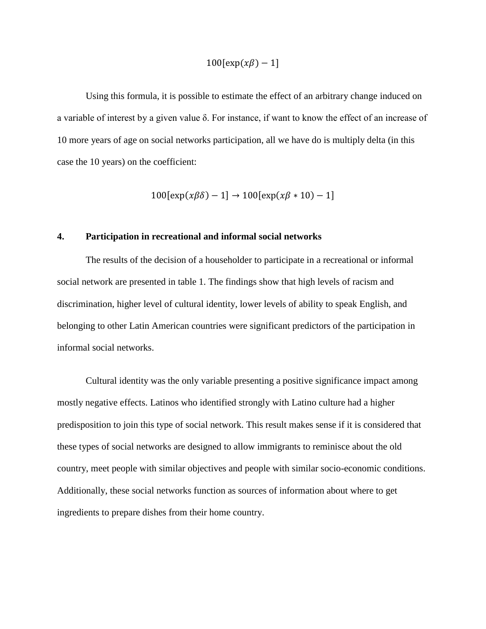$$
100[\exp(x\beta)-1]
$$

Using this formula, it is possible to estimate the effect of an arbitrary change induced on a variable of interest by a given value δ. For instance, if want to know the effect of an increase of 10 more years of age on social networks participation, all we have do is multiply delta (in this case the 10 years) on the coefficient:

$$
100[\exp(x\beta\delta) - 1] \rightarrow 100[\exp(x\beta * 10) - 1]
$$

## **4. Participation in recreational and informal social networks**

The results of the decision of a householder to participate in a recreational or informal social network are presented in table 1. The findings show that high levels of racism and discrimination, higher level of cultural identity, lower levels of ability to speak English, and belonging to other Latin American countries were significant predictors of the participation in informal social networks.

Cultural identity was the only variable presenting a positive significance impact among mostly negative effects. Latinos who identified strongly with Latino culture had a higher predisposition to join this type of social network. This result makes sense if it is considered that these types of social networks are designed to allow immigrants to reminisce about the old country, meet people with similar objectives and people with similar socio-economic conditions. Additionally, these social networks function as sources of information about where to get ingredients to prepare dishes from their home country.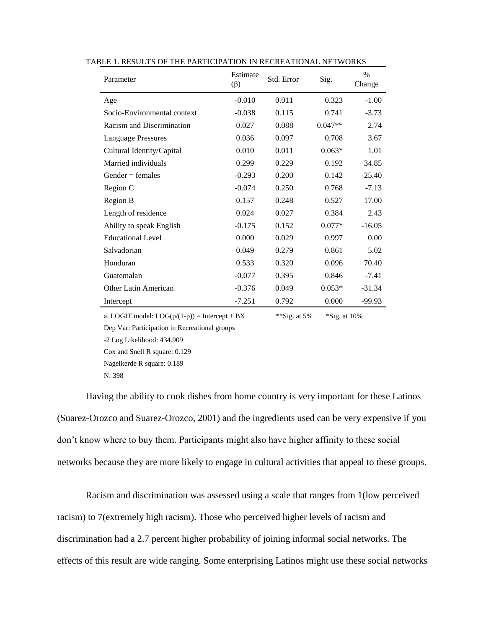| Parameter                                       | Estimate<br>$(\beta)$ | Std. Error      | Sig.           | $\%$<br>Change |
|-------------------------------------------------|-----------------------|-----------------|----------------|----------------|
| Age                                             | $-0.010$              | 0.011           | 0.323          | $-1.00$        |
| Socio-Environmental context                     | $-0.038$              | 0.115           | 0.741          | $-3.73$        |
| Racism and Discrimination                       | 0.027                 | 0.088           | $0.047**$      | 2.74           |
| <b>Language Pressures</b>                       | 0.036                 | 0.097           | 0.708          | 3.67           |
| Cultural Identity/Capital                       | 0.010                 | 0.011           | $0.063*$       | 1.01           |
| Married individuals                             | 0.299                 | 0.229           | 0.192          | 34.85          |
| Gender $=$ females                              | $-0.293$              | 0.200           | 0.142          | $-25.40$       |
| Region C                                        | $-0.074$              | 0.250           | 0.768          | $-7.13$        |
| Region B                                        | 0.157                 | 0.248           | 0.527          | 17.00          |
| Length of residence                             | 0.024                 | 0.027           | 0.384          | 2.43           |
| Ability to speak English                        | $-0.175$              | 0.152           | $0.077*$       | $-16.05$       |
| <b>Educational Level</b>                        | 0.000                 | 0.029           | 0.997          | 0.00           |
| Salvadorian                                     | 0.049                 | 0.279           | 0.861          | 5.02           |
| Honduran                                        | 0.533                 | 0.320           | 0.096          | 70.40          |
| Guatemalan                                      | $-0.077$              | 0.395           | 0.846          | $-7.41$        |
| Other Latin American                            | $-0.376$              | 0.049           | $0.053*$       | $-31.34$       |
| Intercept                                       | $-7.251$              | 0.792           | 0.000          | $-99.93$       |
| a. LOGIT model: $LOG(p/(1-p)) =$ Intercept + BX |                       | **Sig. at $5\%$ | $*Sig.$ at 10% |                |

|  |  |  |  |  |  |  | TABLE 1. RESULTS OF THE PARTICIPATION IN RECREATIONAL NETWORKS |
|--|--|--|--|--|--|--|----------------------------------------------------------------|
|--|--|--|--|--|--|--|----------------------------------------------------------------|

Dep Var: Participation in Recreational groups -2 Log Likelihood: 434.909

Cox and Snell R square: 0.129 Nagelkerde R square: 0.189 N: 398

Having the ability to cook dishes from home country is very important for these Latinos (Suarez-Orozco and Suarez-Orozco, 2001) and the ingredients used can be very expensive if you don't know where to buy them. Participants might also have higher affinity to these social networks because they are more likely to engage in cultural activities that appeal to these groups.

Racism and discrimination was assessed using a scale that ranges from 1(low perceived racism) to 7(extremely high racism). Those who perceived higher levels of racism and discrimination had a 2.7 percent higher probability of joining informal social networks. The effects of this result are wide ranging. Some enterprising Latinos might use these social networks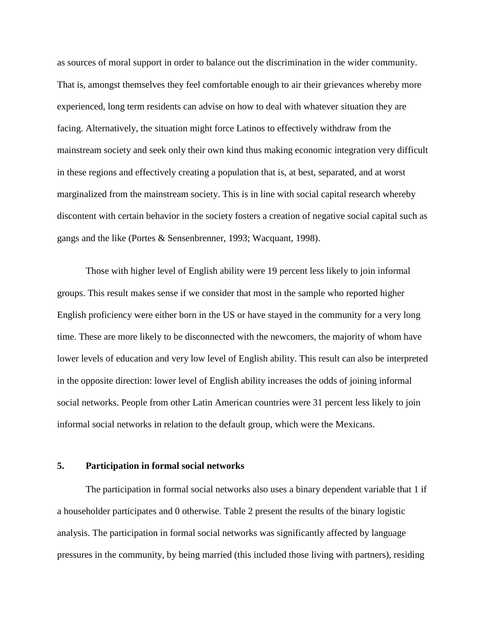as sources of moral support in order to balance out the discrimination in the wider community. That is, amongst themselves they feel comfortable enough to air their grievances whereby more experienced, long term residents can advise on how to deal with whatever situation they are facing. Alternatively, the situation might force Latinos to effectively withdraw from the mainstream society and seek only their own kind thus making economic integration very difficult in these regions and effectively creating a population that is, at best, separated, and at worst marginalized from the mainstream society. This is in line with social capital research whereby discontent with certain behavior in the society fosters a creation of negative social capital such as gangs and the like (Portes & Sensenbrenner, 1993; Wacquant, 1998).

Those with higher level of English ability were 19 percent less likely to join informal groups. This result makes sense if we consider that most in the sample who reported higher English proficiency were either born in the US or have stayed in the community for a very long time. These are more likely to be disconnected with the newcomers, the majority of whom have lower levels of education and very low level of English ability. This result can also be interpreted in the opposite direction: lower level of English ability increases the odds of joining informal social networks. People from other Latin American countries were 31 percent less likely to join informal social networks in relation to the default group, which were the Mexicans.

# **5. Participation in formal social networks**

The participation in formal social networks also uses a binary dependent variable that 1 if a householder participates and 0 otherwise. Table 2 present the results of the binary logistic analysis. The participation in formal social networks was significantly affected by language pressures in the community, by being married (this included those living with partners), residing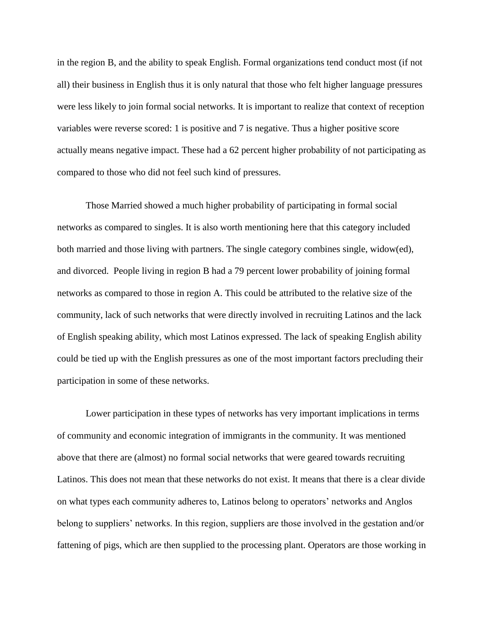in the region B, and the ability to speak English. Formal organizations tend conduct most (if not all) their business in English thus it is only natural that those who felt higher language pressures were less likely to join formal social networks. It is important to realize that context of reception variables were reverse scored: 1 is positive and 7 is negative. Thus a higher positive score actually means negative impact. These had a 62 percent higher probability of not participating as compared to those who did not feel such kind of pressures.

Those Married showed a much higher probability of participating in formal social networks as compared to singles. It is also worth mentioning here that this category included both married and those living with partners. The single category combines single, widow(ed), and divorced. People living in region B had a 79 percent lower probability of joining formal networks as compared to those in region A. This could be attributed to the relative size of the community, lack of such networks that were directly involved in recruiting Latinos and the lack of English speaking ability, which most Latinos expressed. The lack of speaking English ability could be tied up with the English pressures as one of the most important factors precluding their participation in some of these networks.

Lower participation in these types of networks has very important implications in terms of community and economic integration of immigrants in the community. It was mentioned above that there are (almost) no formal social networks that were geared towards recruiting Latinos. This does not mean that these networks do not exist. It means that there is a clear divide on what types each community adheres to, Latinos belong to operators' networks and Anglos belong to suppliers' networks. In this region, suppliers are those involved in the gestation and/or fattening of pigs, which are then supplied to the processing plant. Operators are those working in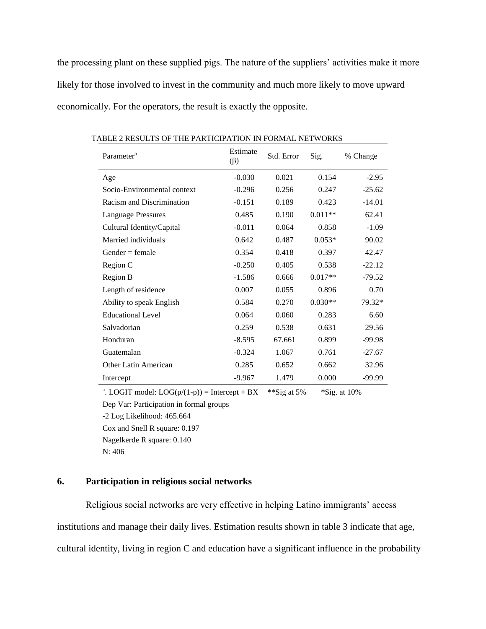the processing plant on these supplied pigs. The nature of the suppliers' activities make it more likely for those involved to invest in the community and much more likely to move upward economically. For the operators, the result is exactly the opposite.

| Parameter <sup>a</sup>      | Estimate<br>$(\beta)$ | Std. Error | Sig.      | % Change |
|-----------------------------|-----------------------|------------|-----------|----------|
| Age                         | $-0.030$              | 0.021      | 0.154     | $-2.95$  |
| Socio-Environmental context | $-0.296$              | 0.256      | 0.247     | $-25.62$ |
| Racism and Discrimination   | $-0.151$              | 0.189      | 0.423     | $-14.01$ |
| <b>Language Pressures</b>   | 0.485                 | 0.190      | $0.011**$ | 62.41    |
| Cultural Identity/Capital   | $-0.011$              | 0.064      | 0.858     | $-1.09$  |
| Married individuals         | 0.642                 | 0.487      | $0.053*$  | 90.02    |
| $Gender = female$           | 0.354                 | 0.418      | 0.397     | 42.47    |
| Region C                    | $-0.250$              | 0.405      | 0.538     | $-22.12$ |
| Region B                    | $-1.586$              | 0.666      | $0.017**$ | $-79.52$ |
| Length of residence         | 0.007                 | 0.055      | 0.896     | 0.70     |
| Ability to speak English    | 0.584                 | 0.270      | $0.030**$ | 79.32*   |
| <b>Educational Level</b>    | 0.064                 | 0.060      | 0.283     | 6.60     |
| Salvadorian                 | 0.259                 | 0.538      | 0.631     | 29.56    |
| Honduran                    | $-8.595$              | 67.661     | 0.899     | $-99.98$ |
| Guatemalan                  | $-0.324$              | 1.067      | 0.761     | $-27.67$ |
| Other Latin American        | 0.285                 | 0.652      | 0.662     | 32.96    |
| Intercept                   | $-9.967$              | 1.479      | 0.000     | $-99.99$ |

TABLE 2 RESULTS OF THE PARTICIPATION IN FORMAL NETWORKS

<sup>a</sup>. LOGIT model: LOG( $p/(1-p)$ ) = Intercept + BX \*\*Sig at 5% \*Sig. at 10%

Dep Var: Participation in formal groups

-2 Log Likelihood: 465.664

Cox and Snell R square: 0.197

Nagelkerde R square: 0.140

N: 406

# **6. Participation in religious social networks**

Religious social networks are very effective in helping Latino immigrants' access institutions and manage their daily lives. Estimation results shown in table 3 indicate that age, cultural identity, living in region C and education have a significant influence in the probability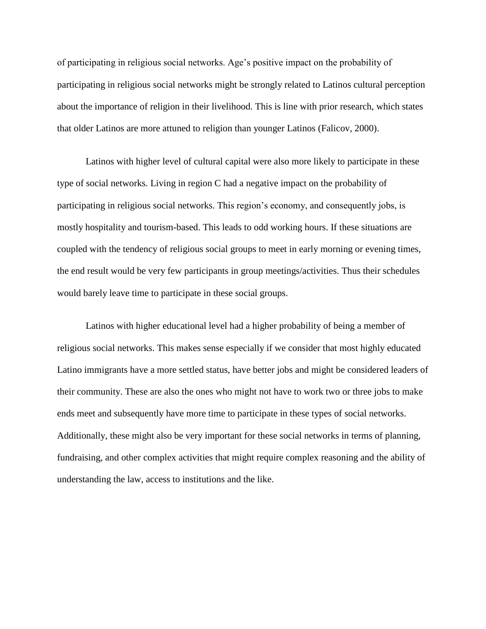of participating in religious social networks. Age's positive impact on the probability of participating in religious social networks might be strongly related to Latinos cultural perception about the importance of religion in their livelihood. This is line with prior research, which states that older Latinos are more attuned to religion than younger Latinos (Falicov, 2000).

Latinos with higher level of cultural capital were also more likely to participate in these type of social networks. Living in region C had a negative impact on the probability of participating in religious social networks. This region's economy, and consequently jobs, is mostly hospitality and tourism-based. This leads to odd working hours. If these situations are coupled with the tendency of religious social groups to meet in early morning or evening times, the end result would be very few participants in group meetings/activities. Thus their schedules would barely leave time to participate in these social groups.

Latinos with higher educational level had a higher probability of being a member of religious social networks. This makes sense especially if we consider that most highly educated Latino immigrants have a more settled status, have better jobs and might be considered leaders of their community. These are also the ones who might not have to work two or three jobs to make ends meet and subsequently have more time to participate in these types of social networks. Additionally, these might also be very important for these social networks in terms of planning, fundraising, and other complex activities that might require complex reasoning and the ability of understanding the law, access to institutions and the like.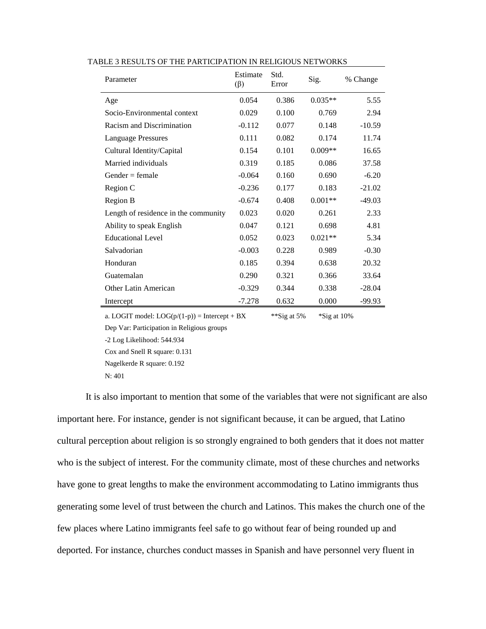| Parameter                                       | Estimate<br>$(\beta)$ | Std.<br>Error  | Sig.           | % Change |
|-------------------------------------------------|-----------------------|----------------|----------------|----------|
| Age                                             | 0.054                 | 0.386          | $0.035**$      | 5.55     |
| Socio-Environmental context                     | 0.029                 | 0.100          | 0.769          | 2.94     |
| Racism and Discrimination                       | $-0.112$              | 0.077          | 0.148          | $-10.59$ |
| <b>Language Pressures</b>                       | 0.111                 | 0.082          | 0.174          | 11.74    |
| Cultural Identity/Capital                       | 0.154                 | 0.101          | $0.009**$      | 16.65    |
| Married individuals                             | 0.319                 | 0.185          | 0.086          | 37.58    |
| $Gender = female$                               | $-0.064$              | 0.160          | 0.690          | $-6.20$  |
| Region C                                        | $-0.236$              | 0.177          | 0.183          | $-21.02$ |
| Region B                                        | $-0.674$              | 0.408          | $0.001**$      | $-49.03$ |
| Length of residence in the community            | 0.023                 | 0.020          | 0.261          | 2.33     |
| Ability to speak English                        | 0.047                 | 0.121          | 0.698          | 4.81     |
| <b>Educational Level</b>                        | 0.052                 | 0.023          | $0.021**$      | 5.34     |
| Salvadorian                                     | $-0.003$              | 0.228          | 0.989          | $-0.30$  |
| Honduran                                        | 0.185                 | 0.394          | 0.638          | 20.32    |
| Guatemalan                                      | 0.290                 | 0.321          | 0.366          | 33.64    |
| <b>Other Latin American</b>                     | $-0.329$              | 0.344          | 0.338          | $-28.04$ |
| Intercept                                       | $-7.278$              | 0.632          | 0.000          | $-99.93$ |
| a. LOGIT model: $LOG(p/(1-p)) =$ Intercept + BX |                       | **Sig at $5\%$ | $*$ Sig at 10% |          |

#### TABLE 3 RESULTS OF THE PARTICIPATION IN RELIGIOUS NETWORKS

Dep Var: Participation in Religious groups

-2 Log Likelihood: 544.934

Cox and Snell R square: 0.131

Nagelkerde R square: 0.192

N: 401

It is also important to mention that some of the variables that were not significant are also important here. For instance, gender is not significant because, it can be argued, that Latino cultural perception about religion is so strongly engrained to both genders that it does not matter who is the subject of interest. For the community climate, most of these churches and networks have gone to great lengths to make the environment accommodating to Latino immigrants thus generating some level of trust between the church and Latinos. This makes the church one of the few places where Latino immigrants feel safe to go without fear of being rounded up and deported. For instance, churches conduct masses in Spanish and have personnel very fluent in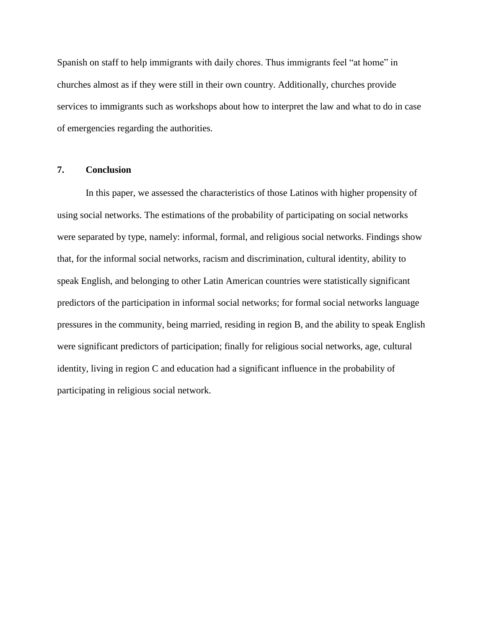Spanish on staff to help immigrants with daily chores. Thus immigrants feel "at home" in churches almost as if they were still in their own country. Additionally, churches provide services to immigrants such as workshops about how to interpret the law and what to do in case of emergencies regarding the authorities.

#### **7. Conclusion**

In this paper, we assessed the characteristics of those Latinos with higher propensity of using social networks. The estimations of the probability of participating on social networks were separated by type, namely: informal, formal, and religious social networks. Findings show that, for the informal social networks, racism and discrimination, cultural identity, ability to speak English, and belonging to other Latin American countries were statistically significant predictors of the participation in informal social networks; for formal social networks language pressures in the community, being married, residing in region B, and the ability to speak English were significant predictors of participation; finally for religious social networks, age, cultural identity, living in region C and education had a significant influence in the probability of participating in religious social network.